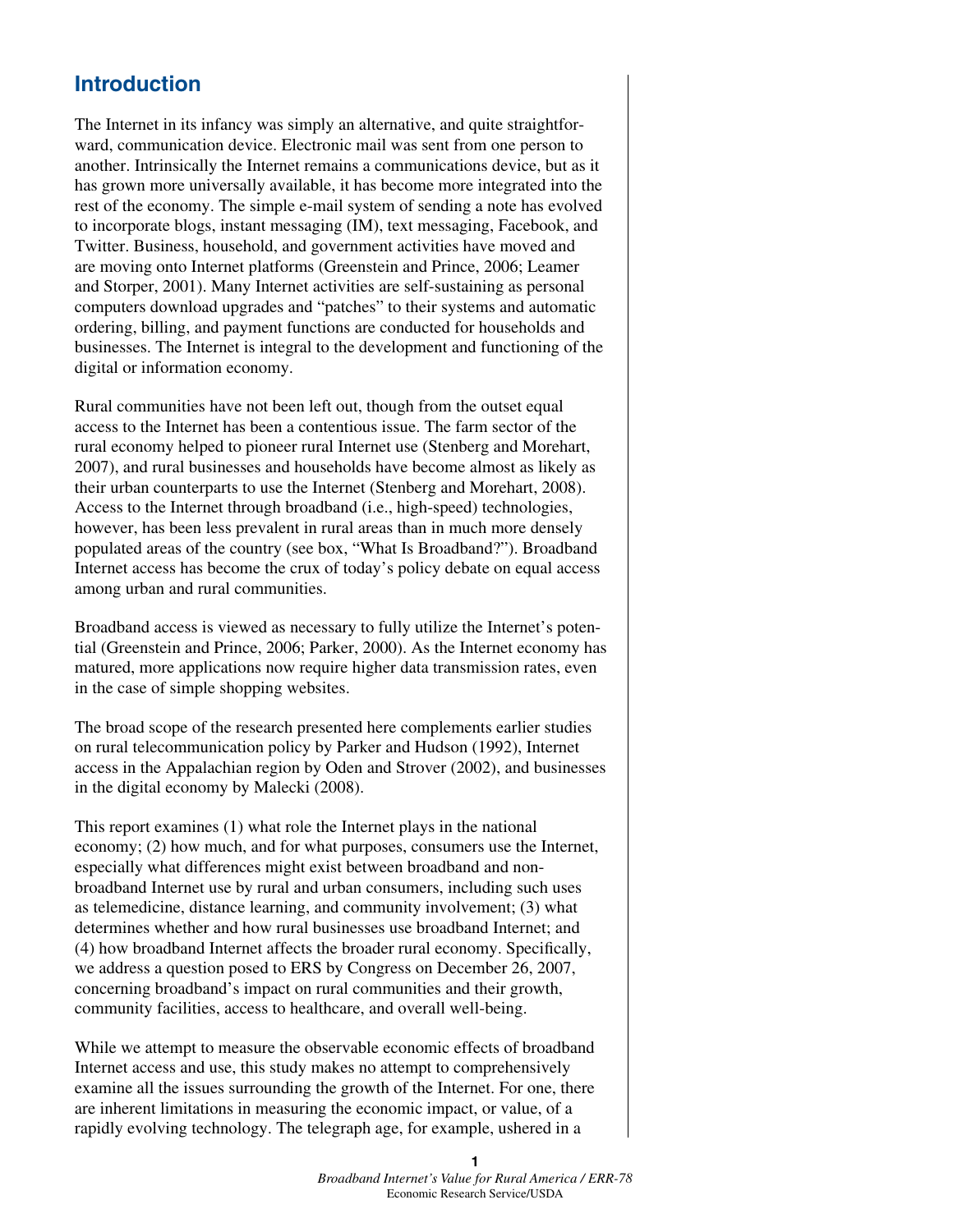## **Introduction**

The Internet in its infancy was simply an alternative, and quite straightforward, communication device. Electronic mail was sent from one person to another. Intrinsically the Internet remains a communications device, but as it has grown more universally available, it has become more integrated into the rest of the economy. The simple e-mail system of sending a note has evolved to incorporate blogs, instant messaging (IM), text messaging, Facebook, and Twitter. Business, household, and government activities have moved and are moving onto Internet platforms (Greenstein and Prince, 2006; Leamer and Storper, 2001). Many Internet activities are self-sustaining as personal computers download upgrades and "patches" to their systems and automatic ordering, billing, and payment functions are conducted for households and businesses. The Internet is integral to the development and functioning of the digital or information economy.

Rural communities have not been left out, though from the outset equal access to the Internet has been a contentious issue. The farm sector of the rural economy helped to pioneer rural Internet use (Stenberg and Morehart, 2007), and rural businesses and households have become almost as likely as their urban counterparts to use the Internet (Stenberg and Morehart, 2008). Access to the Internet through broadband (i.e., high-speed) technologies, however, has been less prevalent in rural areas than in much more densely populated areas of the country (see box, "What Is Broadband?"). Broadband Internet access has become the crux of today's policy debate on equal access among urban and rural communities.

Broadband access is viewed as necessary to fully utilize the Internet's potential (Greenstein and Prince, 2006; Parker, 2000). As the Internet economy has matured, more applications now require higher data transmission rates, even in the case of simple shopping websites.

The broad scope of the research presented here complements earlier studies on rural telecommunication policy by Parker and Hudson (1992), Internet access in the Appalachian region by Oden and Strover (2002), and businesses in the digital economy by Malecki (2008).

This report examines (1) what role the Internet plays in the national economy; (2) how much, and for what purposes, consumers use the Internet, especially what differences might exist between broadband and nonbroadband Internet use by rural and urban consumers, including such uses as telemedicine, distance learning, and community involvement; (3) what determines whether and how rural businesses use broadband Internet; and (4) how broadband Internet affects the broader rural economy. Specifically, we address a question posed to ERS by Congress on December 26, 2007, concerning broadband's impact on rural communities and their growth, community facilities, access to healthcare, and overall well-being.

While we attempt to measure the observable economic effects of broadband Internet access and use, this study makes no attempt to comprehensively examine all the issues surrounding the growth of the Internet. For one, there are inherent limitations in measuring the economic impact, or value, of a rapidly evolving technology. The telegraph age, for example, ushered in a